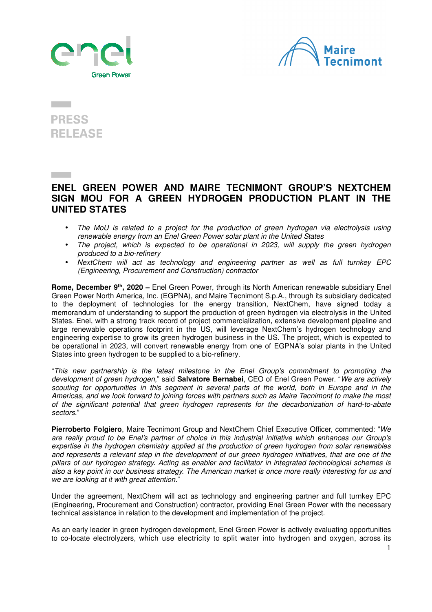



## **PRESS RELEASE**

## **ENEL GREEN POWER AND MAIRE TECNIMONT GROUP'S NEXTCHEM SIGN MOU FOR A GREEN HYDROGEN PRODUCTION PLANT IN THE UNITED STATES**

- The MoU is related to a project for the production of green hydrogen via electrolysis using renewable energy from an Enel Green Power solar plant in the United States
- The project, which is expected to be operational in 2023. will supply the green hydrogen produced to a bio-refinery
- NextChem will act as technology and engineering partner as well as full turnkey EPC (Engineering, Procurement and Construction) contractor

**Rome, December 9th, 2020 –** Enel Green Power, through its North American renewable subsidiary Enel Green Power North America, Inc. (EGPNA), and Maire Tecnimont S.p.A., through its subsidiary dedicated to the deployment of technologies for the energy transition, NextChem, have signed today a memorandum of understanding to support the production of green hydrogen via electrolysis in the United States. Enel, with a strong track record of project commercialization, extensive development pipeline and large renewable operations footprint in the US, will leverage NextChem's hydrogen technology and engineering expertise to grow its green hydrogen business in the US. The project, which is expected to be operational in 2023, will convert renewable energy from one of EGPNA's solar plants in the United States into green hydrogen to be supplied to a bio-refinery.

"This new partnership is the latest milestone in the Enel Group's commitment to promoting the development of green hydrogen," said **Salvatore Bernabei**, CEO of Enel Green Power. "We are actively scouting for opportunities in this segment in several parts of the world, both in Europe and in the Americas, and we look forward to joining forces with partners such as Maire Tecnimont to make the most of the significant potential that green hydrogen represents for the decarbonization of hard-to-abate sectors<sup>"</sup>

**Pierroberto Folgiero**, Maire Tecnimont Group and NextChem Chief Executive Officer, commented: "We are really proud to be Enel's partner of choice in this industrial initiative which enhances our Group's expertise in the hydrogen chemistry applied at the production of green hydrogen from solar renewables and represents a relevant step in the development of our green hydrogen initiatives, that are one of the pillars of our hydrogen strategy. Acting as enabler and facilitator in integrated technological schemes is also a key point in our business strategy. The American market is once more really interesting for us and we are looking at it with great attention."

Under the agreement, NextChem will act as technology and engineering partner and full turnkey EPC (Engineering, Procurement and Construction) contractor, providing Enel Green Power with the necessary technical assistance in relation to the development and implementation of the project.

As an early leader in green hydrogen development, Enel Green Power is actively evaluating opportunities to co-locate electrolyzers, which use electricity to split water into hydrogen and oxygen, across its